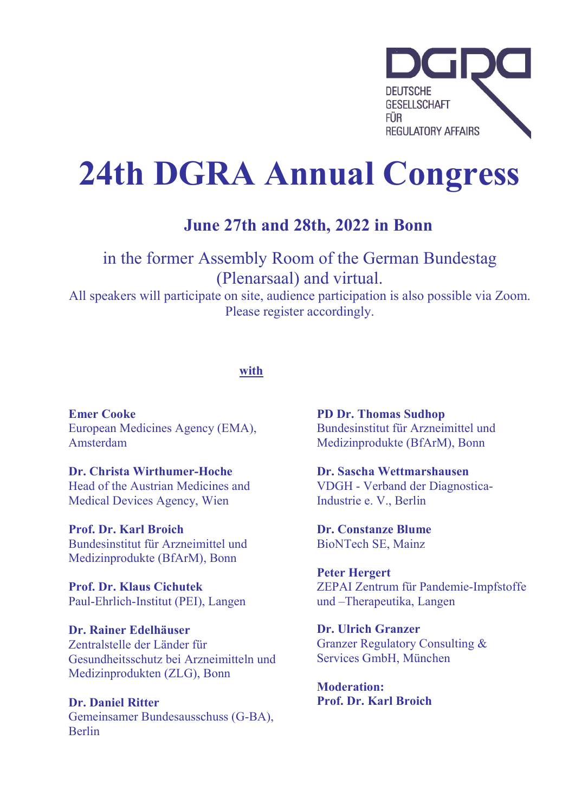

# 24th DGRA Annual Congress

### June 27th and 28th, 2022 in Bonn

in the former Assembly Room of the German Bundestag (Plenarsaal) and virtual. All speakers will participate on site, audience participation is also possible via Zoom.

Please register accordingly.

#### with

Emer Cooke European Medicines Agency (EMA), Amsterdam

Dr. Christa Wirthumer-Hoche Head of the Austrian Medicines and Medical Devices Agency, Wien

Prof. Dr. Karl Broich Bundesinstitut für Arzneimittel und Medizinprodukte (BfArM), Bonn

Prof. Dr. Klaus Cichutek Paul-Ehrlich-Institut (PEI), Langen

Dr. Rainer Edelhäuser Zentralstelle der Länder für Gesundheitsschutz bei Arzneimitteln und Medizinprodukten (ZLG), Bonn

Dr. Daniel Ritter Gemeinsamer Bundesausschuss (G-BA), Berlin

PD Dr. Thomas Sudhop Bundesinstitut für Arzneimittel und Medizinprodukte (BfArM), Bonn

Dr. Sascha Wettmarshausen VDGH - Verband der Diagnostica-Industrie e. V., Berlin

Dr. Constanze Blume BioNTech SE, Mainz

Peter Hergert ZEPAI Zentrum für Pandemie-Impfstoffe und –Therapeutika, Langen

Dr. Ulrich Granzer Granzer Regulatory Consulting & Services GmbH, München

Moderation: Prof. Dr. Karl Broich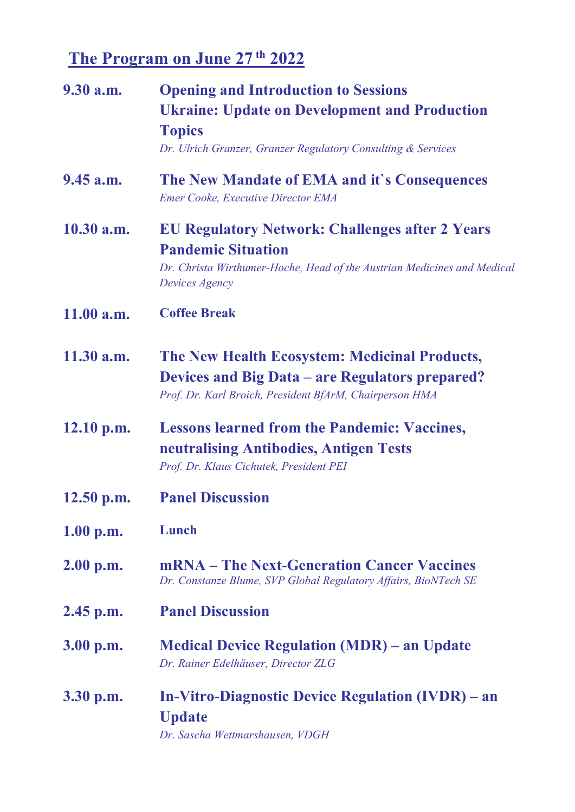### The Program on June 27<sup>th</sup> 2022

| 9.30 a.m.    | <b>Opening and Introduction to Sessions</b><br><b>Ukraine: Update on Development and Production</b><br><b>Topics</b><br>Dr. Ulrich Granzer, Granzer Regulatory Consulting & Services |
|--------------|--------------------------------------------------------------------------------------------------------------------------------------------------------------------------------------|
| $9.45$ a.m.  | The New Mandate of EMA and it's Consequences<br><b>Emer Cooke, Executive Director EMA</b>                                                                                            |
| $10.30$ a.m. | <b>EU Regulatory Network: Challenges after 2 Years</b><br><b>Pandemic Situation</b><br>Dr. Christa Wirthumer-Hoche, Head of the Austrian Medicines and Medical<br>Devices Agency     |
| 11.00 a.m.   | <b>Coffee Break</b>                                                                                                                                                                  |
| $11.30$ a.m. | <b>The New Health Ecosystem: Medicinal Products,</b><br><b>Devices and Big Data – are Regulators prepared?</b><br>Prof. Dr. Karl Broich, President BfArM, Chairperson HMA            |
| $12.10$ p.m. | <b>Lessons learned from the Pandemic: Vaccines,</b><br>neutralising Antibodies, Antigen Tests<br>Prof. Dr. Klaus Cichutek, President PEI                                             |
| $12.50$ p.m. | <b>Panel Discussion</b>                                                                                                                                                              |
| 1.00 p.m.    | Lunch                                                                                                                                                                                |
| 2.00 p.m.    | mRNA – The Next-Generation Cancer Vaccines<br>Dr. Constanze Blume, SVP Global Regulatory Affairs, BioNTech SE                                                                        |
| $2.45$ p.m.  | <b>Panel Discussion</b>                                                                                                                                                              |
| 3.00 p.m.    | <b>Medical Device Regulation (MDR) – an Update</b><br>Dr. Rainer Edelhäuser, Director ZLG                                                                                            |
| $3.30$ p.m.  | <b>In-Vitro-Diagnostic Device Regulation (IVDR) – an</b><br><b>Update</b><br>Dr. Sascha Wettmarshausen, VDGH                                                                         |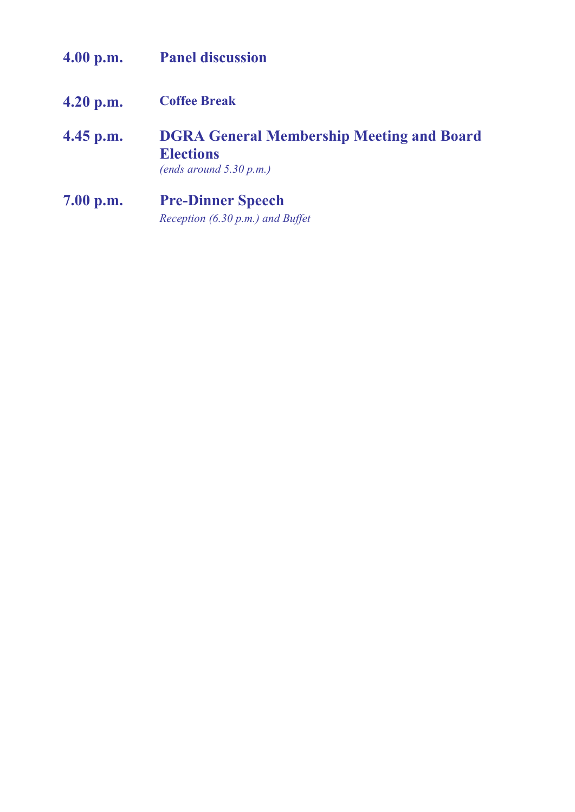| 4.00 p.m.   | <b>Panel discussion</b>                                                                            |
|-------------|----------------------------------------------------------------------------------------------------|
| $4.20$ p.m. | <b>Coffee Break</b>                                                                                |
| $4.45$ p.m. | <b>DGRA General Membership Meeting and Board</b><br><b>Elections</b><br>(ends around $5.30 p.m.$ ) |
| 7.00 p.m.   | <b>Pre-Dinner Speech</b>                                                                           |
|             | Reception (6.30 p.m.) and Buffet                                                                   |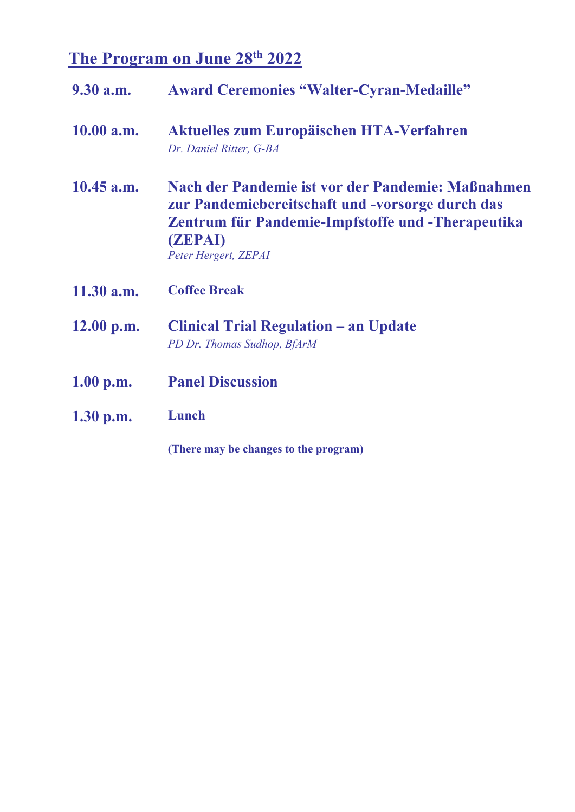## The Program on June 28<sup>th</sup> 2022

| 9.30 a.m.    | <b>Award Ceremonies "Walter-Cyran-Medaille"</b>                                                                                                                                                      |
|--------------|------------------------------------------------------------------------------------------------------------------------------------------------------------------------------------------------------|
| 10.00 a.m.   | Aktuelles zum Europäischen HTA-Verfahren<br>Dr. Daniel Ritter, G-BA                                                                                                                                  |
| $10.45$ a.m. | Nach der Pandemie ist vor der Pandemie: Maßnahmen<br>zur Pandemiebereitschaft und -vorsorge durch das<br>Zentrum für Pandemie-Impfstoffe und -Therapeutika<br><b>(ZEPAI)</b><br>Peter Hergert, ZEPAI |
| $11.30$ a.m. | <b>Coffee Break</b>                                                                                                                                                                                  |
| $12.00$ p.m. | <b>Clinical Trial Regulation – an Update</b><br>PD Dr. Thomas Sudhop, BfArM                                                                                                                          |
| 1.00 p.m.    | <b>Panel Discussion</b>                                                                                                                                                                              |
| $1.30$ p.m.  | Lunch                                                                                                                                                                                                |
|              | (There may be changes to the program)                                                                                                                                                                |